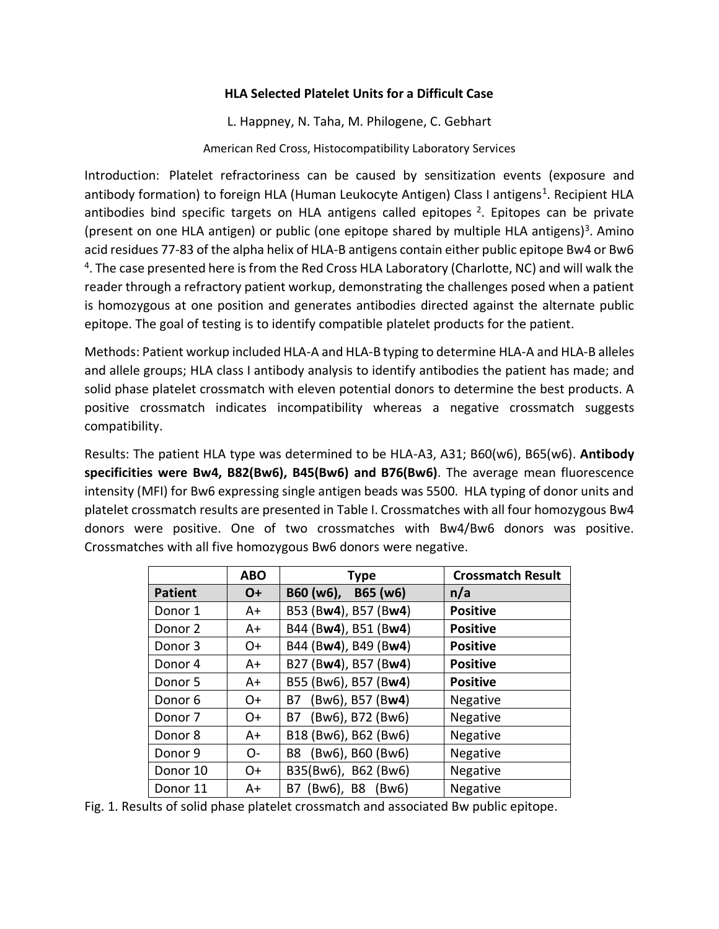## **HLA Selected Platelet Units for a Difficult Case**

L. Happney, N. Taha, M. Philogene, C. Gebhart American Red Cross, Histocompatibility Laboratory Services

Introduction: Platelet refractoriness can be caused by sensitization events (exposure and antibody formation) to foreign HLA (Human Leukocyte Antigen) Class I antigens<sup>1</sup>. Recipient HLA antibodies bind specific targets on HLA antigens called epitopes <sup>2</sup>. Epitopes can be private (present on one HLA antigen) or public (one epitope shared by multiple HLA antigens)<sup>3</sup>. Amino acid residues 77-83 of the alpha helix of HLA-B antigens contain either public epitope Bw4 or Bw6 <sup>4</sup>. The case presented here is from the Red Cross HLA Laboratory (Charlotte, NC) and will walk the reader through a refractory patient workup, demonstrating the challenges posed when a patient is homozygous at one position and generates antibodies directed against the alternate public epitope. The goal of testing is to identify compatible platelet products for the patient.

Methods: Patient workup included HLA-A and HLA-B typing to determine HLA-A and HLA-B alleles and allele groups; HLA class I antibody analysis to identify antibodies the patient has made; and solid phase platelet crossmatch with eleven potential donors to determine the best products. A positive crossmatch indicates incompatibility whereas a negative crossmatch suggests compatibility.

Results: The patient HLA type was determined to be HLA-A3, A31; B60(w6), B65(w6). **Antibody specificities were Bw4, B82(Bw6), B45(Bw6) and B76(Bw6)**. The average mean fluorescence intensity (MFI) for Bw6 expressing single antigen beads was 5500. HLA typing of donor units and platelet crossmatch results are presented in Table I. Crossmatches with all four homozygous Bw4 donors were positive. One of two crossmatches with Bw4/Bw6 donors was positive. Crossmatches with all five homozygous Bw6 donors were negative.

|                    | <b>ABO</b> | <b>Type</b>            | <b>Crossmatch Result</b> |
|--------------------|------------|------------------------|--------------------------|
| <b>Patient</b>     | <b>O+</b>  | B60 (w6), B65 (w6)     | n/a                      |
| Donor 1            | A+         | B53 (Bw4), B57 (Bw4)   | <b>Positive</b>          |
| Donor 2            | A+         | B44 (Bw4), B51 (Bw4)   | <b>Positive</b>          |
| Donor 3            | 0+         | B44 (Bw4), B49 (Bw4)   | <b>Positive</b>          |
| Donor 4            | A+         | B27 (Bw4), B57 (Bw4)   | <b>Positive</b>          |
| Donor 5            | A+         | B55 (Bw6), B57 (Bw4)   | <b>Positive</b>          |
| Donor <sub>6</sub> | $O+$       | (Bw6), B57 (Bw4)<br>B7 | Negative                 |
| Donor 7            | $O+$       | (Bw6), B72 (Bw6)<br>B7 | Negative                 |
| Donor 8            | A+         | B18 (Bw6), B62 (Bw6)   | Negative                 |
| Donor 9            | $O-$       | Bw6), B60 (Bw6)<br>B8  | Negative                 |
| Donor 10           | $O+$       | B35(Bw6), B62 (Bw6)    | Negative                 |
| Donor 11           | A+         | (Bw6), B8 (Bw6)<br>B7  | Negative                 |

Fig. 1. Results of solid phase platelet crossmatch and associated Bw public epitope.